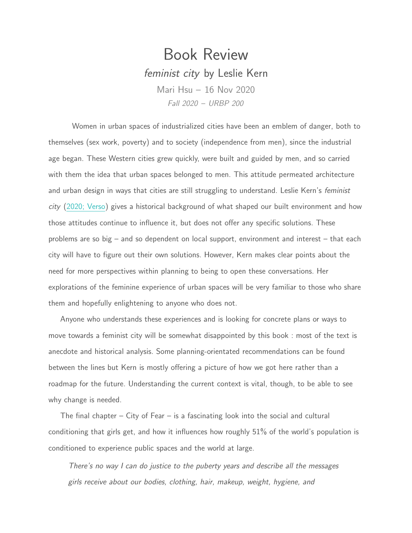## Book Review feminist city by Leslie Kern Mari Hsu – 16 Nov 2020 Fall 2020 – URBP 200

Women in urban spaces of industrialized cities have been an emblem of danger, both to themselves (sex work, poverty) and to society (independence from men), since the industrial age began. These Western cities grew quickly, were built and guided by men, and so carried with them the idea that urban spaces belonged to men. This attitude permeated architecture and urban design in ways that cities are still struggling to understand. Leslie Kern's *feminist* city [\(2020; Verso\)](https://www.versobooks.com/books/3227-feminist-city) gives a historical background of what shaped our built environment and how those attitudes continue to influence it, but does not offer any specific solutions. These problems are so big – and so dependent on local support, environment and interest – that each city will have to figure out their own solutions. However, Kern makes clear points about the need for more perspectives within planning to being to open these conversations. Her explorations of the feminine experience of urban spaces will be very familiar to those who share them and hopefully enlightening to anyone who does not.

Anyone who understands these experiences and is looking for concrete plans or ways to move towards a feminist city will be somewhat disappointed by this book : most of the text is anecdote and historical analysis. Some planning-orientated recommendations can be found between the lines but Kern is mostly offering a picture of how we got here rather than a roadmap for the future. Understanding the current context is vital, though, to be able to see why change is needed.

The final chapter  $-$  City of Fear  $-$  is a fascinating look into the social and cultural conditioning that girls get, and how it influences how roughly 51% of the world's population is conditioned to experience public spaces and the world at large.

There's no way I can do justice to the puberty years and describe all the messages girls receive about our bodies, clothing, hair, makeup, weight, hygiene, and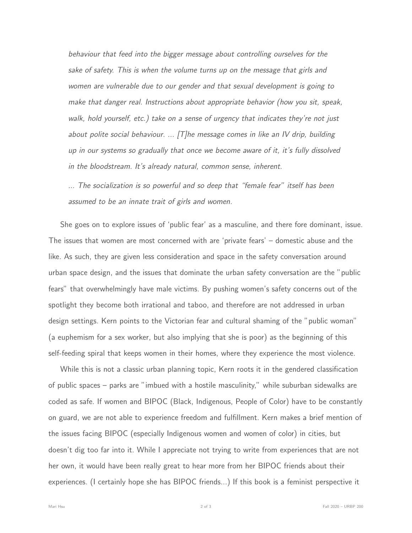behaviour that feed into the bigger message about controlling ourselves for the sake of safety. This is when the volume turns up on the message that girls and women are vulnerable due to our gender and that sexual development is going to make that danger real. Instructions about appropriate behavior (how you sit, speak, walk, hold yourself, etc.) take on a sense of urgency that indicates they're not just about polite social behaviour. ... [T]he message comes in like an IV drip, building up in our systems so gradually that once we become aware of it, it's fully dissolved in the bloodstream. It's already natural, common sense, inherent.

... The socialization is so powerful and so deep that "female fear" itself has been assumed to be an innate trait of girls and women.

She goes on to explore issues of 'public fear' as a masculine, and there fore dominant, issue. The issues that women are most concerned with are 'private fears' – domestic abuse and the like. As such, they are given less consideration and space in the safety conversation around urban space design, and the issues that dominate the urban safety conversation are the "public fears" that overwhelmingly have male victims. By pushing women's safety concerns out of the spotlight they become both irrational and taboo, and therefore are not addressed in urban design settings. Kern points to the Victorian fear and cultural shaming of the "public woman" (a euphemism for a sex worker, but also implying that she is poor) as the beginning of this self-feeding spiral that keeps women in their homes, where they experience the most violence.

While this is not a classic urban planning topic, Kern roots it in the gendered classification of public spaces – parks are "imbued with a hostile masculinity," while suburban sidewalks are coded as safe. If women and BIPOC (Black, Indigenous, People of Color) have to be constantly on guard, we are not able to experience freedom and fulfillment. Kern makes a brief mention of the issues facing BIPOC (especially Indigenous women and women of color) in cities, but doesn't dig too far into it. While I appreciate not trying to write from experiences that are not her own, it would have been really great to hear more from her BIPOC friends about their experiences. (I certainly hope she has BIPOC friends...) If this book is a feminist perspective it